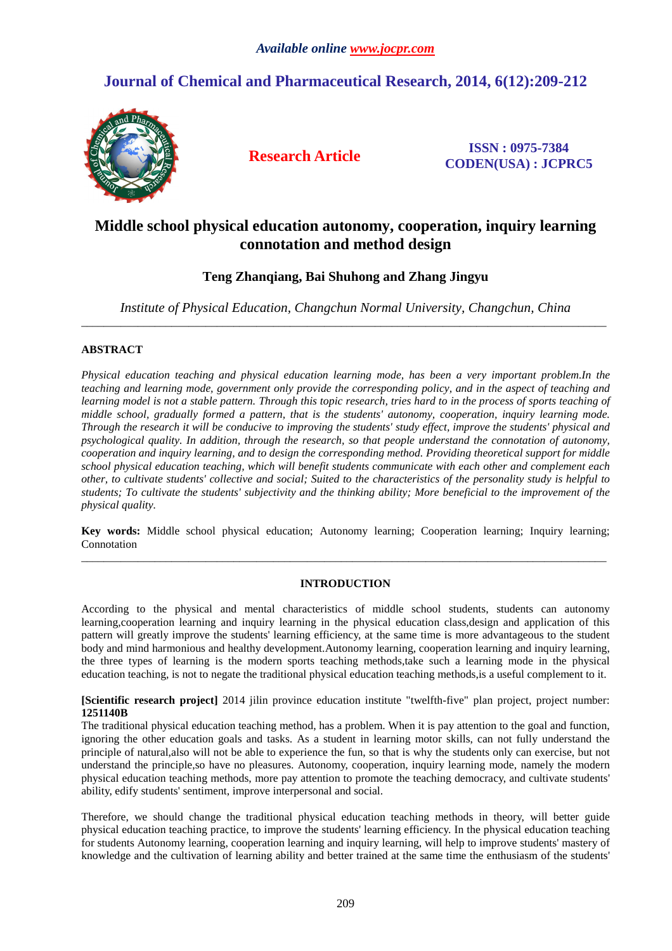# **Journal of Chemical and Pharmaceutical Research, 2014, 6(12):209-212**



**Research Article ISSN : 0975-7384 CODEN(USA) : JCPRC5**

## **Middle school physical education autonomy, cooperation, inquiry learning connotation and method design**

### **Teng Zhanqiang, Bai Shuhong and Zhang Jingyu**

*Institute of Physical Education, Changchun Normal University, Changchun, China*  \_\_\_\_\_\_\_\_\_\_\_\_\_\_\_\_\_\_\_\_\_\_\_\_\_\_\_\_\_\_\_\_\_\_\_\_\_\_\_\_\_\_\_\_\_\_\_\_\_\_\_\_\_\_\_\_\_\_\_\_\_\_\_\_\_\_\_\_\_\_\_\_\_\_\_\_\_\_\_\_\_\_\_\_\_\_\_\_\_\_\_\_\_

### **ABSTRACT**

*Physical education teaching and physical education learning mode, has been a very important problem.In the teaching and learning mode, government only provide the corresponding policy, and in the aspect of teaching and*  learning model is not a stable pattern. Through this topic research, tries hard to in the process of sports teaching of *middle school, gradually formed a pattern, that is the students' autonomy, cooperation, inquiry learning mode. Through the research it will be conducive to improving the students' study effect, improve the students' physical and psychological quality. In addition, through the research, so that people understand the connotation of autonomy, cooperation and inquiry learning, and to design the corresponding method. Providing theoretical support for middle school physical education teaching, which will benefit students communicate with each other and complement each other, to cultivate students' collective and social; Suited to the characteristics of the personality study is helpful to students; To cultivate the students' subjectivity and the thinking ability; More beneficial to the improvement of the physical quality.* 

**Key words:** Middle school physical education; Autonomy learning; Cooperation learning; Inquiry learning; Connotation \_\_\_\_\_\_\_\_\_\_\_\_\_\_\_\_\_\_\_\_\_\_\_\_\_\_\_\_\_\_\_\_\_\_\_\_\_\_\_\_\_\_\_\_\_\_\_\_\_\_\_\_\_\_\_\_\_\_\_\_\_\_\_\_\_\_\_\_\_\_\_\_\_\_\_\_\_\_\_\_\_\_\_\_\_\_\_\_\_\_\_\_\_

### **INTRODUCTION**

According to the physical and mental characteristics of middle school students, students can autonomy learning,cooperation learning and inquiry learning in the physical education class,design and application of this pattern will greatly improve the students' learning efficiency, at the same time is more advantageous to the student body and mind harmonious and healthy development.Autonomy learning, cooperation learning and inquiry learning, the three types of learning is the modern sports teaching methods,take such a learning mode in the physical education teaching, is not to negate the traditional physical education teaching methods,is a useful complement to it.

**[Scientific research project]** 2014 jilin province education institute "twelfth-five" plan project, project number: **1251140B**

The traditional physical education teaching method, has a problem. When it is pay attention to the goal and function, ignoring the other education goals and tasks. As a student in learning motor skills, can not fully understand the principle of natural,also will not be able to experience the fun, so that is why the students only can exercise, but not understand the principle,so have no pleasures. Autonomy, cooperation, inquiry learning mode, namely the modern physical education teaching methods, more pay attention to promote the teaching democracy, and cultivate students' ability, edify students' sentiment, improve interpersonal and social.

Therefore, we should change the traditional physical education teaching methods in theory, will better guide physical education teaching practice, to improve the students' learning efficiency. In the physical education teaching for students Autonomy learning, cooperation learning and inquiry learning, will help to improve students' mastery of knowledge and the cultivation of learning ability and better trained at the same time the enthusiasm of the students'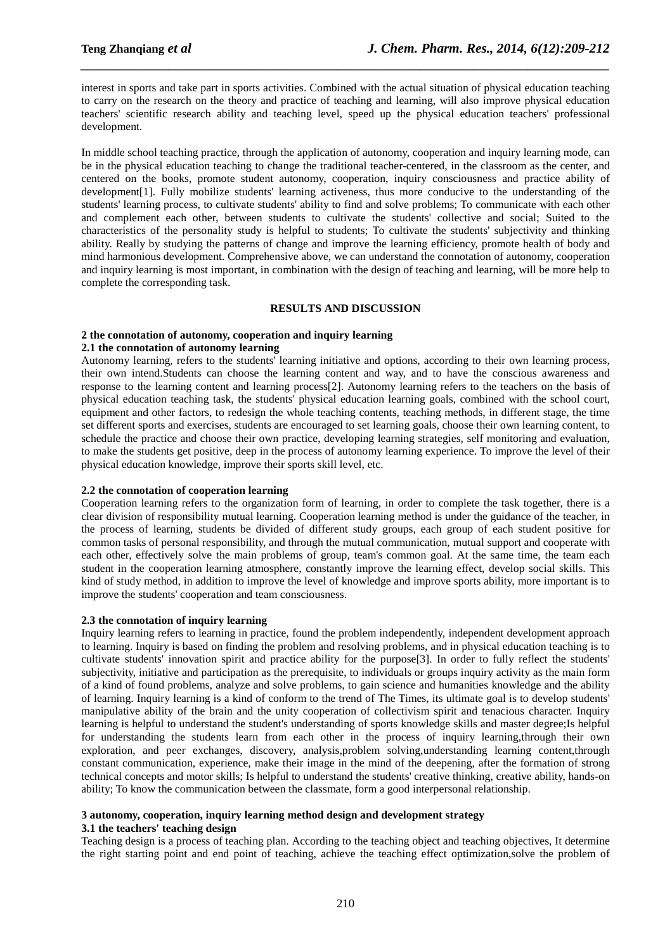interest in sports and take part in sports activities. Combined with the actual situation of physical education teaching to carry on the research on the theory and practice of teaching and learning, will also improve physical education teachers' scientific research ability and teaching level, speed up the physical education teachers' professional development.

*\_\_\_\_\_\_\_\_\_\_\_\_\_\_\_\_\_\_\_\_\_\_\_\_\_\_\_\_\_\_\_\_\_\_\_\_\_\_\_\_\_\_\_\_\_\_\_\_\_\_\_\_\_\_\_\_\_\_\_\_\_\_\_\_\_\_\_\_\_\_\_\_\_\_\_\_\_\_*

In middle school teaching practice, through the application of autonomy, cooperation and inquiry learning mode, can be in the physical education teaching to change the traditional teacher-centered, in the classroom as the center, and centered on the books, promote student autonomy, cooperation, inquiry consciousness and practice ability of development[1]. Fully mobilize students' learning activeness, thus more conducive to the understanding of the students' learning process, to cultivate students' ability to find and solve problems; To communicate with each other and complement each other, between students to cultivate the students' collective and social; Suited to the characteristics of the personality study is helpful to students; To cultivate the students' subjectivity and thinking ability. Really by studying the patterns of change and improve the learning efficiency, promote health of body and mind harmonious development. Comprehensive above, we can understand the connotation of autonomy, cooperation and inquiry learning is most important, in combination with the design of teaching and learning, will be more help to complete the corresponding task.

### **RESULTS AND DISCUSSION**

### **2 the connotation of autonomy, cooperation and inquiry learning**

### **2.1 the connotation of autonomy learning**

Autonomy learning, refers to the students' learning initiative and options, according to their own learning process, their own intend.Students can choose the learning content and way, and to have the conscious awareness and response to the learning content and learning process[2]. Autonomy learning refers to the teachers on the basis of physical education teaching task, the students' physical education learning goals, combined with the school court, equipment and other factors, to redesign the whole teaching contents, teaching methods, in different stage, the time set different sports and exercises, students are encouraged to set learning goals, choose their own learning content, to schedule the practice and choose their own practice, developing learning strategies, self monitoring and evaluation, to make the students get positive, deep in the process of autonomy learning experience. To improve the level of their physical education knowledge, improve their sports skill level, etc.

### **2.2 the connotation of cooperation learning**

Cooperation learning refers to the organization form of learning, in order to complete the task together, there is a clear division of responsibility mutual learning. Cooperation learning method is under the guidance of the teacher, in the process of learning, students be divided of different study groups, each group of each student positive for common tasks of personal responsibility, and through the mutual communication, mutual support and cooperate with each other, effectively solve the main problems of group, team's common goal. At the same time, the team each student in the cooperation learning atmosphere, constantly improve the learning effect, develop social skills. This kind of study method, in addition to improve the level of knowledge and improve sports ability, more important is to improve the students' cooperation and team consciousness.

### **2.3 the connotation of inquiry learning**

Inquiry learning refers to learning in practice, found the problem independently, independent development approach to learning. Inquiry is based on finding the problem and resolving problems, and in physical education teaching is to cultivate students' innovation spirit and practice ability for the purpose[3]. In order to fully reflect the students' subjectivity, initiative and participation as the prerequisite, to individuals or groups inquiry activity as the main form of a kind of found problems, analyze and solve problems, to gain science and humanities knowledge and the ability of learning. Inquiry learning is a kind of conform to the trend of The Times, its ultimate goal is to develop students' manipulative ability of the brain and the unity cooperation of collectivism spirit and tenacious character. Inquiry learning is helpful to understand the student's understanding of sports knowledge skills and master degree;Is helpful for understanding the students learn from each other in the process of inquiry learning,through their own exploration, and peer exchanges, discovery, analysis,problem solving,understanding learning content,through constant communication, experience, make their image in the mind of the deepening, after the formation of strong technical concepts and motor skills; Is helpful to understand the students' creative thinking, creative ability, hands-on ability; To know the communication between the classmate, form a good interpersonal relationship.

# **3 autonomy, cooperation, inquiry learning method design and development strategy**

**3.1 the teachers' teaching design** 

Teaching design is a process of teaching plan. According to the teaching object and teaching objectives, It determine the right starting point and end point of teaching, achieve the teaching effect optimization,solve the problem of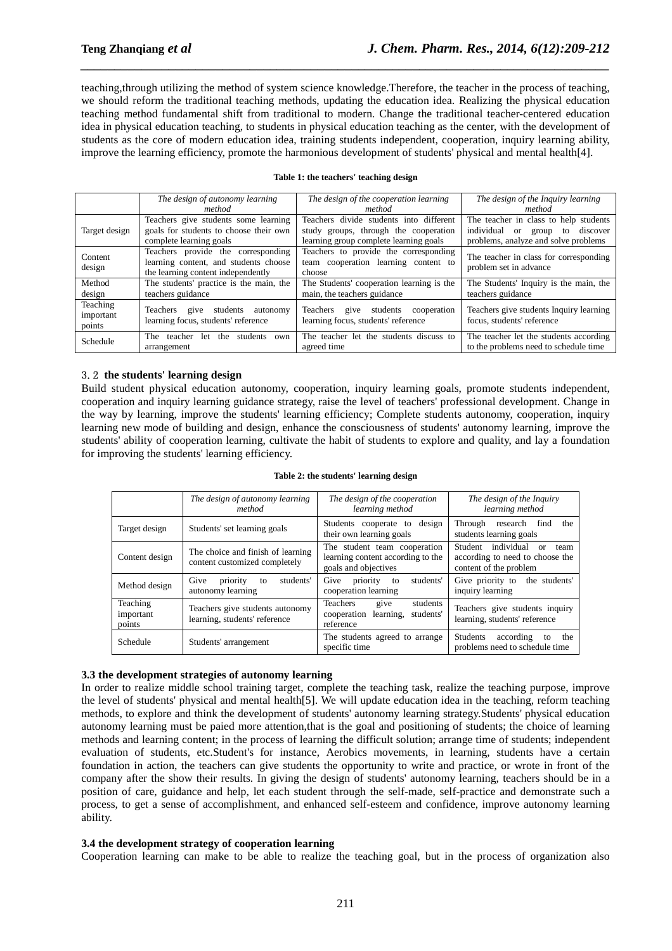teaching,through utilizing the method of system science knowledge.Therefore, the teacher in the process of teaching, we should reform the traditional teaching methods, updating the education idea. Realizing the physical education teaching method fundamental shift from traditional to modern. Change the traditional teacher-centered education idea in physical education teaching, to students in physical education teaching as the center, with the development of students as the core of modern education idea, training students independent, cooperation, inquiry learning ability, improve the learning efficiency, promote the harmonious development of students' physical and mental health[4].

*\_\_\_\_\_\_\_\_\_\_\_\_\_\_\_\_\_\_\_\_\_\_\_\_\_\_\_\_\_\_\_\_\_\_\_\_\_\_\_\_\_\_\_\_\_\_\_\_\_\_\_\_\_\_\_\_\_\_\_\_\_\_\_\_\_\_\_\_\_\_\_\_\_\_\_\_\_\_*

### **Table 1: the teachers' teaching design**

|                                 | The design of autonomy learning                                                                                   | The design of the cooperation learning                                                                                     | The design of the Inquiry learning                                                                                                  |
|---------------------------------|-------------------------------------------------------------------------------------------------------------------|----------------------------------------------------------------------------------------------------------------------------|-------------------------------------------------------------------------------------------------------------------------------------|
|                                 | method                                                                                                            | method                                                                                                                     | method                                                                                                                              |
| Target design                   | Teachers give students some learning<br>goals for students to choose their own<br>complete learning goals         | Teachers divide students into different<br>study groups, through the cooperation<br>learning group complete learning goals | The teacher in class to help students<br>individual<br><b>or</b><br>discover<br>group<br>to<br>problems, analyze and solve problems |
| Content<br>design               | Teachers provide the corresponding<br>learning content, and students choose<br>the learning content independently | Teachers to provide the corresponding<br>team cooperation learning content to<br>choose                                    | The teacher in class for corresponding<br>problem set in advance                                                                    |
| Method<br>design                | The students' practice is the main, the<br>teachers guidance                                                      | The Students' cooperation learning is the<br>main, the teachers guidance                                                   | The Students' Inquiry is the main, the<br>teachers guidance                                                                         |
| Teaching<br>important<br>points | students<br>Teachers<br>autonomy<br>give<br>learning focus, students' reference                                   | give students cooperation<br>Teachers<br>learning focus, students' reference                                               | Teachers give students Inquiry learning<br>focus, students' reference                                                               |
| Schedule                        | students<br>teacher<br>the<br>The<br>let.<br>own<br>arrangement                                                   | The teacher let the students discuss to<br>agreed time                                                                     | The teacher let the students according<br>to the problems need to schedule time                                                     |

### 3.2 **the students' learning design**

Build student physical education autonomy, cooperation, inquiry learning goals, promote students independent, cooperation and inquiry learning guidance strategy, raise the level of teachers' professional development. Change in the way by learning, improve the students' learning efficiency; Complete students autonomy, cooperation, inquiry learning new mode of building and design, enhance the consciousness of students' autonomy learning, improve the students' ability of cooperation learning, cultivate the habit of students to explore and quality, and lay a foundation for improving the students' learning efficiency.

|                                 | The design of autonomy learning<br>method                          | The design of the cooperation<br>learning method                                          | The design of the Inquiry<br>learning method                                                  |
|---------------------------------|--------------------------------------------------------------------|-------------------------------------------------------------------------------------------|-----------------------------------------------------------------------------------------------|
| Target design                   | Students' set learning goals                                       | Students cooperate to design<br>their own learning goals                                  | Through<br>research<br>find<br>the<br>students learning goals                                 |
| Content design                  | The choice and finish of learning<br>content customized completely | The student team cooperation<br>learning content according to the<br>goals and objectives | Student individual<br>team<br>or<br>according to need to choose the<br>content of the problem |
| Method design                   | priority<br>Give<br>students'<br>to<br>autonomy learning           | students'<br>Give<br>priority<br>to<br>cooperation learning                               | Give priority to<br>the students'<br>inquiry learning                                         |
| Teaching<br>important<br>points | Teachers give students autonomy<br>learning, students' reference   | students<br>Teachers<br>give<br>cooperation<br>learning,<br>students'<br>reference        | Teachers give students inquiry<br>learning, students' reference                               |
| Schedule                        | Students' arrangement                                              | The students agreed to arrange<br>specific time                                           | <b>Students</b><br>according<br>the<br>to<br>problems need to schedule time                   |

### **Table 2: the students' learning design**

### **3.3 the development strategies of autonomy learning**

In order to realize middle school training target, complete the teaching task, realize the teaching purpose, improve the level of students' physical and mental health[5]. We will update education idea in the teaching, reform teaching methods, to explore and think the development of students' autonomy learning strategy.Students' physical education autonomy learning must be paied more attention,that is the goal and positioning of students; the choice of learning methods and learning content; in the process of learning the difficult solution; arrange time of students; independent evaluation of students, etc.Student's for instance, Aerobics movements, in learning, students have a certain foundation in action, the teachers can give students the opportunity to write and practice, or wrote in front of the company after the show their results. In giving the design of students' autonomy learning, teachers should be in a position of care, guidance and help, let each student through the self-made, self-practice and demonstrate such a process, to get a sense of accomplishment, and enhanced self-esteem and confidence, improve autonomy learning ability.

### **3.4 the development strategy of cooperation learning**

Cooperation learning can make to be able to realize the teaching goal, but in the process of organization also